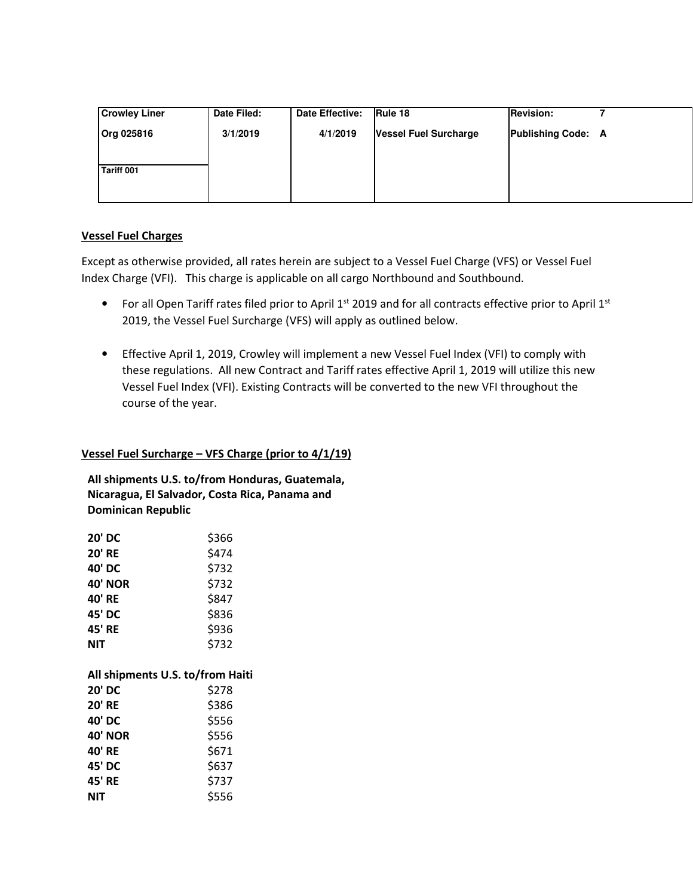| <b>Crowley Liner</b> | Date Filed: | Date Effective: | Rule 18                      | <b>Revision:</b>          |  |
|----------------------|-------------|-----------------|------------------------------|---------------------------|--|
| <b>Org 025816</b>    | 3/1/2019    | 4/1/2019        | <b>Vessel Fuel Surcharge</b> | <b>Publishing Code: A</b> |  |
|                      |             |                 |                              |                           |  |
| Tariff 001           |             |                 |                              |                           |  |
|                      |             |                 |                              |                           |  |
|                      |             |                 |                              |                           |  |

# **Vessel Fuel Charges**

Except as otherwise provided, all rates herein are subject to a Vessel Fuel Charge (VFS) or Vessel Fuel Index Charge (VFI). This charge is applicable on all cargo Northbound and Southbound.

- For all Open Tariff rates filed prior to April  $1^{st}$  2019 and for all contracts effective prior to April  $1^{st}$ 2019, the Vessel Fuel Surcharge (VFS) will apply as outlined below.
- Effective April 1, 2019, Crowley will implement a new Vessel Fuel Index (VFI) to comply with these regulations. All new Contract and Tariff rates effective April 1, 2019 will utilize this new Vessel Fuel Index (VFI). Existing Contracts will be converted to the new VFI throughout the course of the year.

## **Vessel Fuel Surcharge – VFS Charge (prior to 4/1/19)**

**All shipments U.S. to/from Honduras, Guatemala, Nicaragua, El Salvador, Costa Rica, Panama and Dominican Republic** 

| <b>20' DC</b>                    | \$366 |
|----------------------------------|-------|
| <b>20' RE</b>                    | \$474 |
| 40' DC                           | \$732 |
| <b>40' NOR</b>                   | \$732 |
| 40' RE                           | \$847 |
| 45' DC                           | \$836 |
| 45' RE                           | \$936 |
| NIT                              | \$732 |
|                                  |       |
|                                  |       |
| All shipments U.S. to/from Haiti |       |
| 20' DC                           | \$278 |
| <b>20' RE</b>                    | \$386 |
| 40' DC                           | \$556 |
| <b>40' NOR</b>                   | \$556 |
| 40' RE                           | \$671 |
| 45' DC                           | \$637 |
| 45' RE                           | \$737 |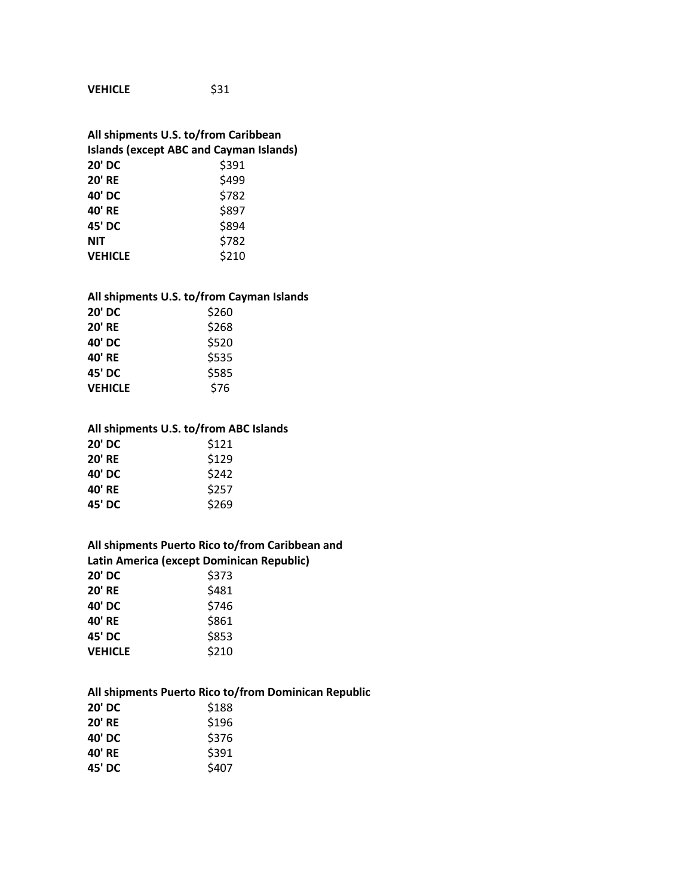**VEHICLE** \$31

# **All shipments U.S. to/from Caribbean Islands (except ABC and Cayman Islands) 20' DC** \$391 **20' RE** \$499 **40' DC** \$782 **40' RE** \$897 **45' DC** \$894

| NIT            | \$782 |
|----------------|-------|
| <b>VEHICLE</b> | \$210 |

#### **All shipments U.S. to/from Cayman Islands**

| <b>20' DC</b>  | \$260 |
|----------------|-------|
| <b>20' RE</b>  | \$268 |
| 40' DC         | \$520 |
| 40' RE         | \$535 |
| 45' DC         | \$585 |
| <b>VEHICLE</b> | \$76  |

### **All shipments U.S. to/from ABC Islands**

| <b>20' DC</b> | \$121 |
|---------------|-------|
| <b>20' RE</b> | \$129 |
| 40' DC        | \$242 |
| 40' RE        | \$257 |
| 45' DC        | \$269 |

#### **All shipments Puerto Rico to/from Caribbean and Latin America (except Dominican Republic)**

| 20' DC         | \$373 |
|----------------|-------|
| <b>20' RE</b>  | \$481 |
| 40' DC         | \$746 |
| 40' RE         | \$861 |
| 45' DC         | \$853 |
| <b>VEHICLE</b> | \$210 |
|                |       |

#### **All shipments Puerto Rico to/from Dominican Republic**

| 20' DC        | \$188 |
|---------------|-------|
| <b>20' RE</b> | \$196 |
| 40' DC        | \$376 |
| 40' RE        | \$391 |
| 45' DC        | \$407 |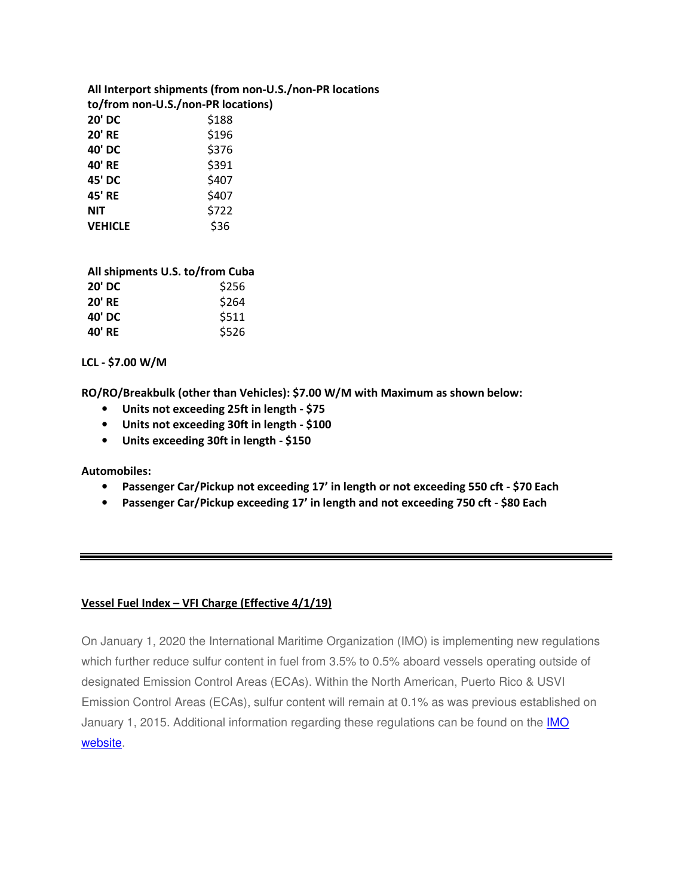|                                    | All Interport shipments (from non-U.S./non-PR locations |  |
|------------------------------------|---------------------------------------------------------|--|
| to/from non-U.S./non-PR locations) |                                                         |  |
| <b>20' DC</b>                      | \$188                                                   |  |
| <b>20' RE</b>                      | \$196                                                   |  |
| 40' DC                             | \$376                                                   |  |
| 40' RE                             | \$391                                                   |  |
| 45' DC                             | \$407                                                   |  |
| 45' RE                             | \$407                                                   |  |
| <b>NIT</b>                         | \$722                                                   |  |
| <b>VEHICLE</b>                     | \$36                                                    |  |

| All shipments U.S. to/from Cuba |       |  |
|---------------------------------|-------|--|
| <b>20' DC</b>                   | \$256 |  |
| <b>20' RE</b>                   | \$264 |  |
| 40' DC                          | \$511 |  |
| 40' RE                          | \$526 |  |

## **LCL - \$7.00 W/M**

**RO/RO/Breakbulk (other than Vehicles): \$7.00 W/M with Maximum as shown below:** 

- **Units not exceeding 25ft in length \$75**
- **Units not exceeding 30ft in length \$100**
- **Units exceeding 30ft in length \$150**

**Automobiles:** 

- **Passenger Car/Pickup not exceeding 17' in length or not exceeding 550 cft \$70 Each**
- **Passenger Car/Pickup exceeding 17' in length and not exceeding 750 cft \$80 Each**

## **Vessel Fuel Index – VFI Charge (Effective 4/1/19)**

On January 1, 2020 the International Maritime Organization (IMO) is implementing new regulations which further reduce sulfur content in fuel from 3.5% to 0.5% aboard vessels operating outside of designated Emission Control Areas (ECAs). Within the North American, Puerto Rico & USVI Emission Control Areas (ECAs), sulfur content will remain at 0.1% as was previous established on January 1, 2015. Additional information regarding these regulations can be found on the IMO website.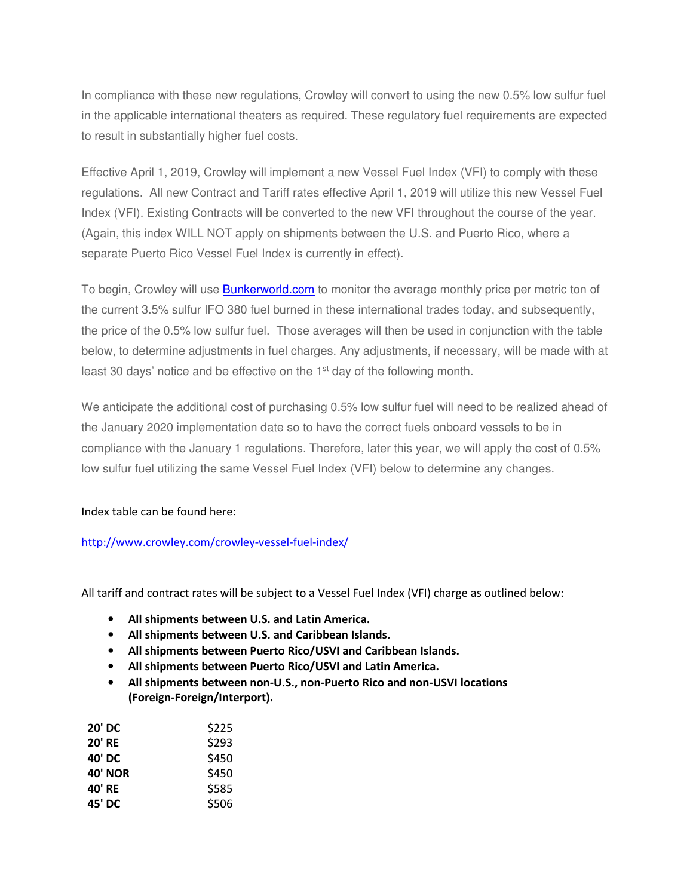In compliance with these new regulations, Crowley will convert to using the new 0.5% low sulfur fuel in the applicable international theaters as required. These regulatory fuel requirements are expected to result in substantially higher fuel costs.

Effective April 1, 2019, Crowley will implement a new Vessel Fuel Index (VFI) to comply with these regulations. All new Contract and Tariff rates effective April 1, 2019 will utilize this new Vessel Fuel Index (VFI). Existing Contracts will be converted to the new VFI throughout the course of the year. (Again, this index WILL NOT apply on shipments between the U.S. and Puerto Rico, where a separate Puerto Rico Vessel Fuel Index is currently in effect).

To begin, Crowley will use **Bunkerworld.com** to monitor the average monthly price per metric ton of the current 3.5% sulfur IFO 380 fuel burned in these international trades today, and subsequently, the price of the 0.5% low sulfur fuel. Those averages will then be used in conjunction with the table below, to determine adjustments in fuel charges. Any adjustments, if necessary, will be made with at least 30 days' notice and be effective on the 1<sup>st</sup> day of the following month.

We anticipate the additional cost of purchasing 0.5% low sulfur fuel will need to be realized ahead of the January 2020 implementation date so to have the correct fuels onboard vessels to be in compliance with the January 1 regulations. Therefore, later this year, we will apply the cost of 0.5% low sulfur fuel utilizing the same Vessel Fuel Index (VFI) below to determine any changes.

## Index table can be found here:

## http://www.crowley.com/crowley-vessel-fuel-index/

All tariff and contract rates will be subject to a Vessel Fuel Index (VFI) charge as outlined below:

- **All shipments between U.S. and Latin America.**
- **All shipments between U.S. and Caribbean Islands.**
- **All shipments between Puerto Rico/USVI and Caribbean Islands.**
- **All shipments between Puerto Rico/USVI and Latin America.**
- **All shipments between non-U.S., non-Puerto Rico and non-USVI locations (Foreign-Foreign/Interport).**

| 20' DC         | \$225 |
|----------------|-------|
| <b>20' RE</b>  | \$293 |
| 40' DC         | \$450 |
| <b>40' NOR</b> | \$450 |
| 40' RE         | \$585 |
| 45' DC         | \$506 |